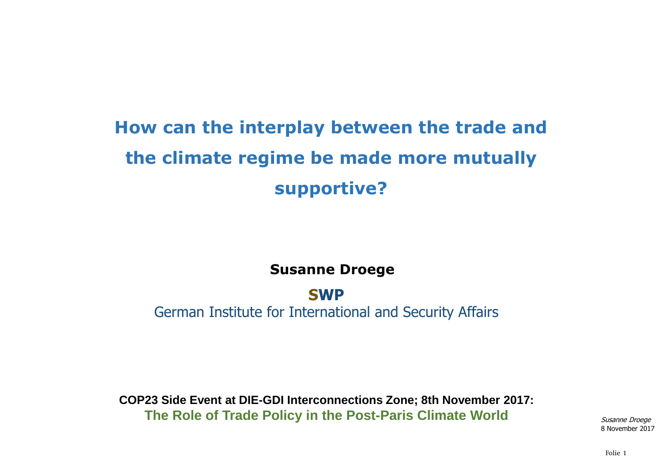### **How can the interplay between the trade and the climate regime be made more mutually supportive?**

#### **Susanne Droege**

#### **SWP**

German Institute for International and Security Affairs

**COP23 Side Event at DIE-GDI Interconnections Zone; 8th November 2017: The Role of Trade Policy in the Post-Paris Climate World**

Susanne Droege8 November 2017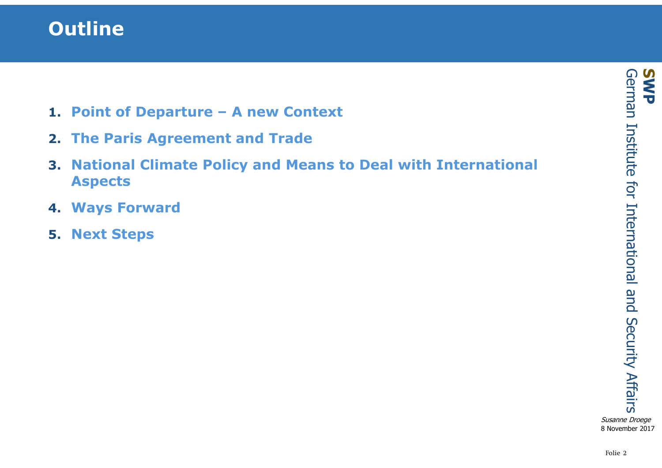### **Outline**

- **1. Point of Departure – A new Context**
- **2. The Paris Agreement and Trade**
- **3. National Climate Policy and Means to Deal with International Aspects**
- **4. Ways Forward**
- **5. Next Steps**

Susanne Droege8 November 2017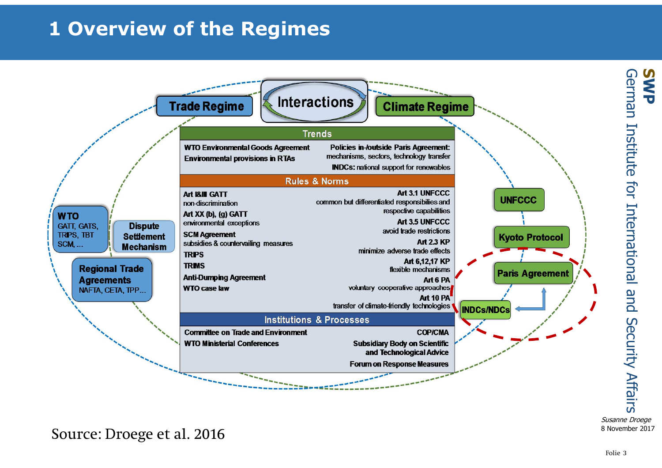## **1 Overview of the Regimes**



Susanne Droege8 November 2017

Source: Droege et al. 2016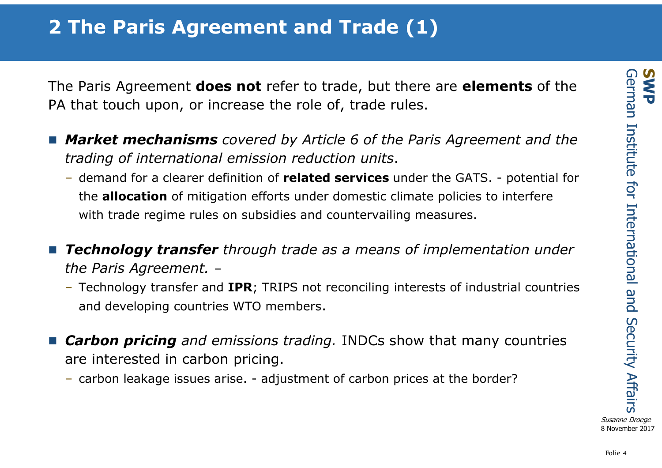The Paris Agreement **does not** refer to trade, but there are **elements** of the PA that touch upon, or increase the role of, trade rules.

- *Market mechanisms covered by Article 6 of the Paris Agreement and the trading of international emission reduction units*.
	- demand for a clearer definition of **related services** under the GATS. potential for the **allocation** of mitigation efforts under domestic climate policies to interfere with trade regime rules on subsidies and countervailing measures.
- n. *Technology transfer through trade as a means of implementation under the Paris Agreement.*–
	- Technology transfer and **IPR**; TRIPS not reconciling interests of industrial countries and developing countries WTO members.
- *Carbon pricing and emissions trading.* INDCs show that many countries are interested in carbon pricing.
	- carbon leakage issues arise. adjustment of carbon prices at the border?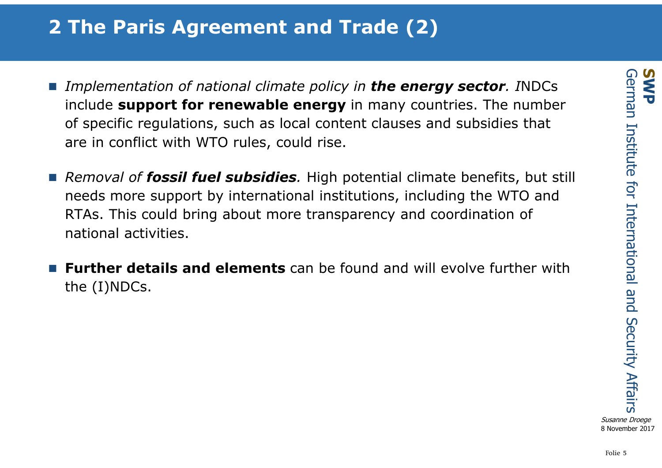### **2 The Paris Agreement and Trade (2)**

- *Implementation of national climate policy in the energy sector. <i>INDCs* include **support for renewable energy** in many countries. The number of specific regulations, such as local content clauses and subsidies that are in conflict with WTO rules, could rise.
- *Removal of fossil fuel subsidies.* High potential climate benefits, but still needs more support by international institutions, including the WTO and RTAs. This could bring about more transparency and coordination of national activities.
- n. **Further details and elements** can be found and will evolve further with the (I)NDCs.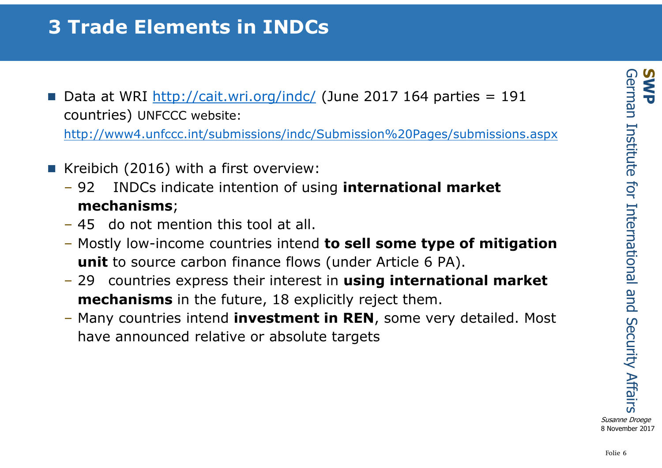### **3 Trade Elements in INDCs**

Data at WRI  $\frac{\text{http://cait.wri.org/index/}}{\text{http://cait.wri.org/index/}}$  (June 2017 164 parties = 191 countries) UNFCCC website:

http://www4.unfccc.int/submissions/indc/Submission%20Pages/submissions.aspx

- Kreibich (2016) with a first overview:
	- – 92 INDCs indicate intention of using **international market mechanisms**;
	- 45 do not mention this tool at all.
	- Mostly low-income countries intend **to sell some type of mitigation unit** to source carbon finance flows (under Article 6 PA).
	- 29 countries express their interest in **using international market mechanisms** in the future, 18 explicitly reject them.
	- Many countries intend **investment in REN**, some very detailed. Most have announced relative or absolute targets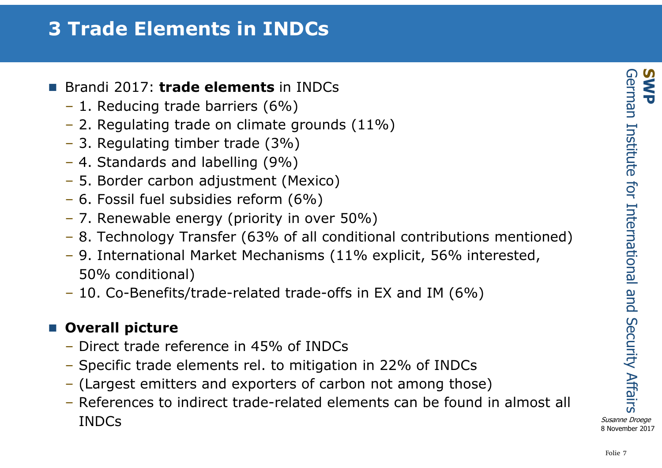### **3 Trade Elements in INDCs**

- Brandi 2017: **trade elements** in INDCs
	- 1. Reducing trade barriers (6%)
	- 2. Regulating trade on climate grounds (11%)
	- 3. Regulating timber trade (3%)
	- 4. Standards and labelling (9%)
	- 5. Border carbon adjustment (Mexico)
	- 6. Fossil fuel subsidies reform (6%)
	- 7. Renewable energy (priority in over 50%)
	- 8. Technology Transfer (63% of all conditional contributions mentioned)
	- 9. International Market Mechanisms (11% explicit, 56% interested, 50% conditional)
	- 10. Co-Benefits/trade-related trade-offs in EX and IM (6%)

### **Overall picture**

- Direct trade reference in 45% of INDCs
- Specific trade elements rel. to mitigation in 22% of INDC s
- (Largest emitters and exporters of carbon not among those )
- References to indirect trade-related elements can be found in almost all<br>INDCs INDCs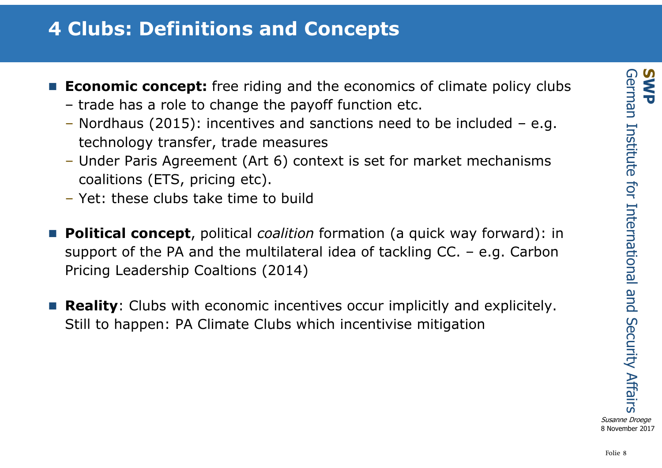### **4 Clubs: Definitions and Concepts**

- **Economic concept:** free riding and the economics of climate policy clubs – trade has a role to change the payoff function etc.<br>Nerdhaus (2015): incontives and sanctions pood to
	- Nordhaus (2015): incentives and sanctions need to be included e.g.<br>technology transfer, trade measures technology transfer, trade measures
	- Under Paris Agreement (Art 6) context is set for market mechanisms coalitions (ETS, pricing etc).
	- Yet: these clubs take time to build
- **Political concept**, political *coalition* formation (a quick way forward): in support of the PA and the multilateral idea of tackling CC. – e.g. Carbon Pricing Leadership Coaltions (2014)
- n. **Reality**: Clubs with economic incentives occur implicitly and explicitely. Still to happen: PA Climate Clubs which incentivise mitigation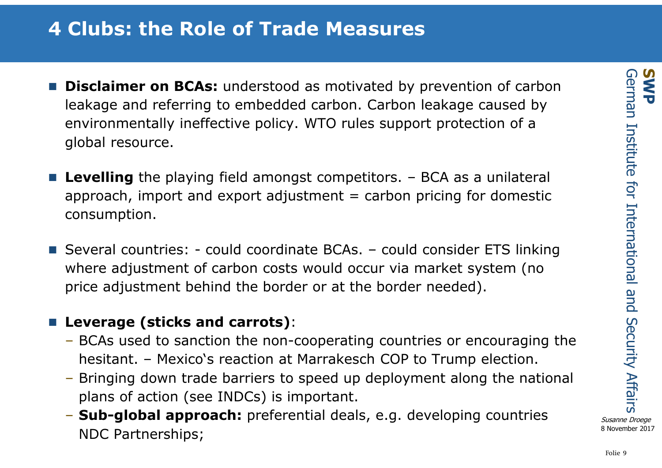### **4 Clubs: the Role of Trade Measures**

- **Disclaimer on BCAs:** understood as motivated by prevention of carbon leakage and referring to embedded carbon. Carbon leakage caused by environmentally ineffective policy. WTO rules support protection of a global resource.
- Levelling the playing field amongst competitors. BCA as a unilateral<br>approach import and expert adjustment = carbon prising for demostic approach, import and export adjustment  $=$  carbon pricing for domestic consumption.
- Several countries: could coordinate BCAs. could consider ETS linking<br>where adjustment of sarben sests would assure via market system (no where adjustment of carbon costs would occur via market system (no price adjustment behind the border or at the border needed).

### **Leverage (sticks and carrots)**:

- BCAs used to sanction the non-cooperating countries or encouraging the hesitant. – Mexico's reaction at Marrakesch COP to Trump election.
- Bringing down trade barriers to speed up deployment along the national plans of action (see INDCs) is important.
- **Sub-global approach:** preferential deals, e.g. developing countries NDC Partnerships;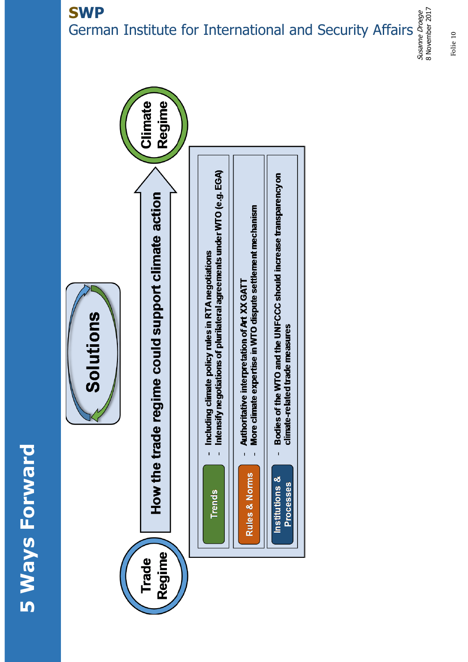# **5 Ways Forward 5 Ways Forward**

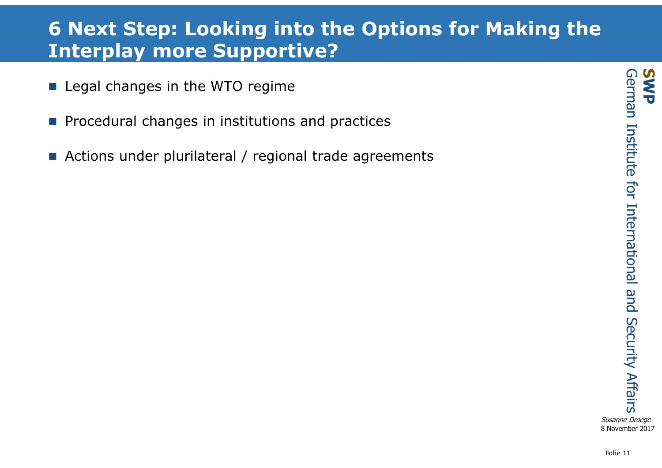### **6 Next Step: Looking into the Options for Making the Interplay more Supportive?**

- **Legal changes in the WTO regime**
- $\mathcal{L}(\mathcal{A})$ Procedural changes in institutions and practices
- Actions under plurilateral / regional trade agreements

Folie 11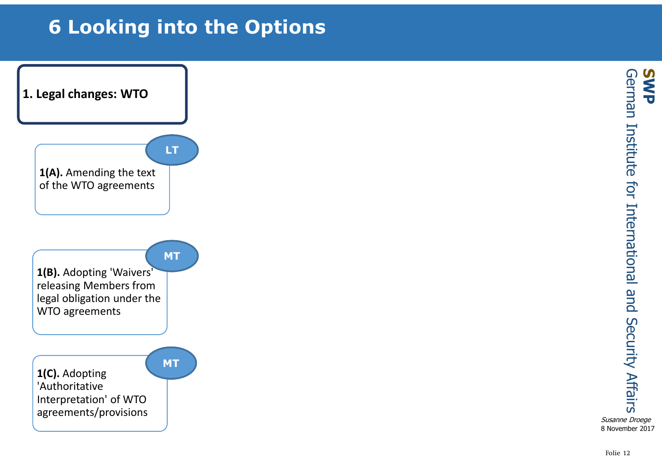## **6 Looking into the Options**

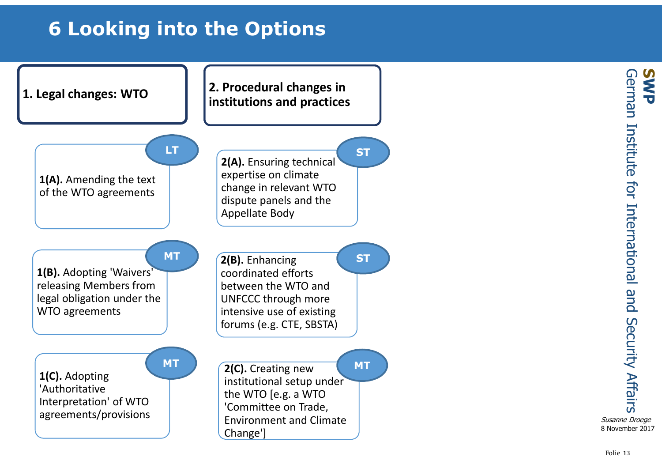## **6 Looking into the Options**



German Institute for International and Security Affairs **SWP** German Institute for International and **Security Affairs** Susanne Droege8 November 2017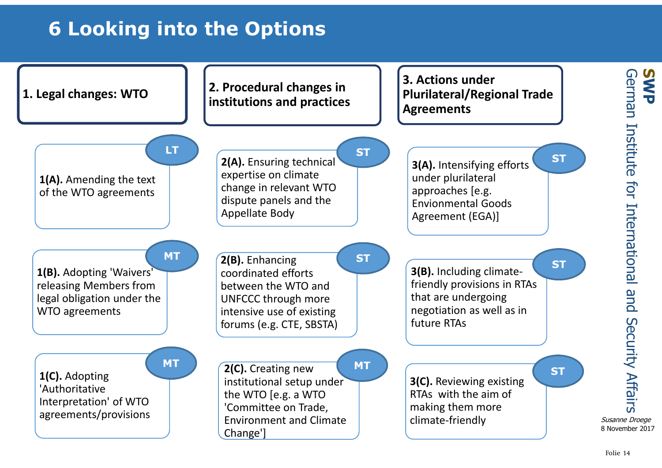## **6 Looking into the Options**



**SWP**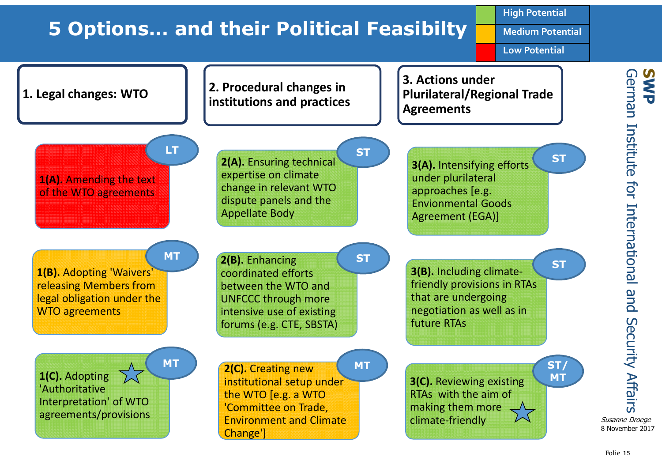### **5 Options… and their Political Feasibilty**

**High Potential**

**Medium Potential**

**Low Potential**

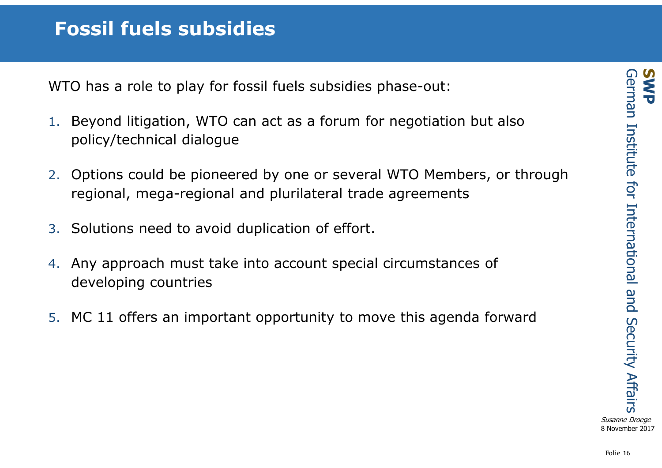WTO has a role to play for fossil fuels subsidies phase-out:

- 1. Beyond litigation, WTO can act as a forum for negotiation but also policy/technical dialogue
- 2. Options could be pioneered by one or several WTO Members, or through regional, mega-regional and plurilateral trade agreements
- 3. Solutions need to avoid duplication of effort.
- 4. Any approach must take into account special circumstances of developing countries
- 5. MC 11 offers an important opportunity to move this agenda forward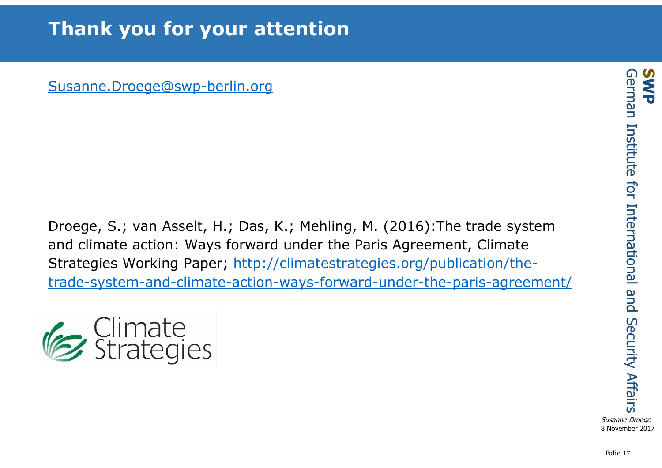Susanne.Droege@swp-berlin.org

Droege, S.; van Asselt, H.; Das, K.; Mehling, M. (2016):The trade system and climate action: Ways forward under the Paris Agreement, Climate Strategies Working Paper; http://climatestrategies.org/publication/thetrade-system-and-climate-action-ways-forward-under-the-paris-agreement/



Susanne Droege8 November 2017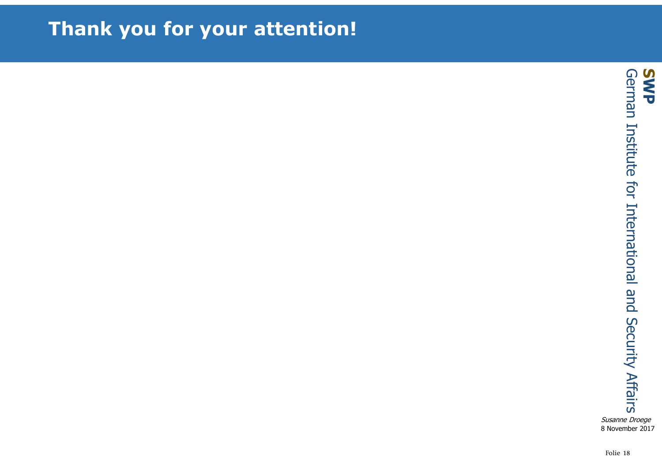### **Thank you for your attention!**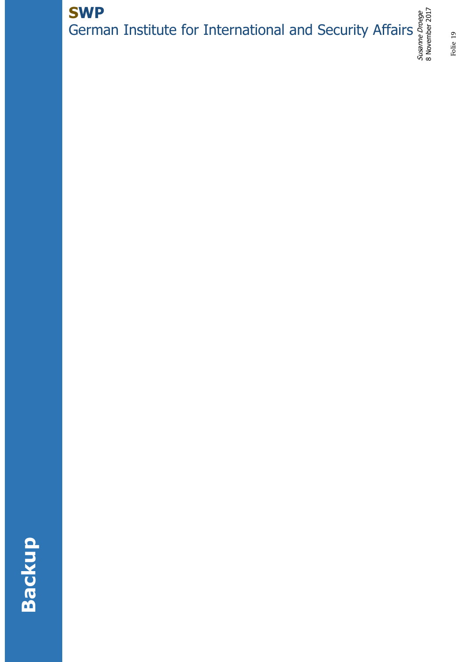### Susanne Droege **SWP** German Institute for International and Security Affairs

8 November 2017

# **Backup**